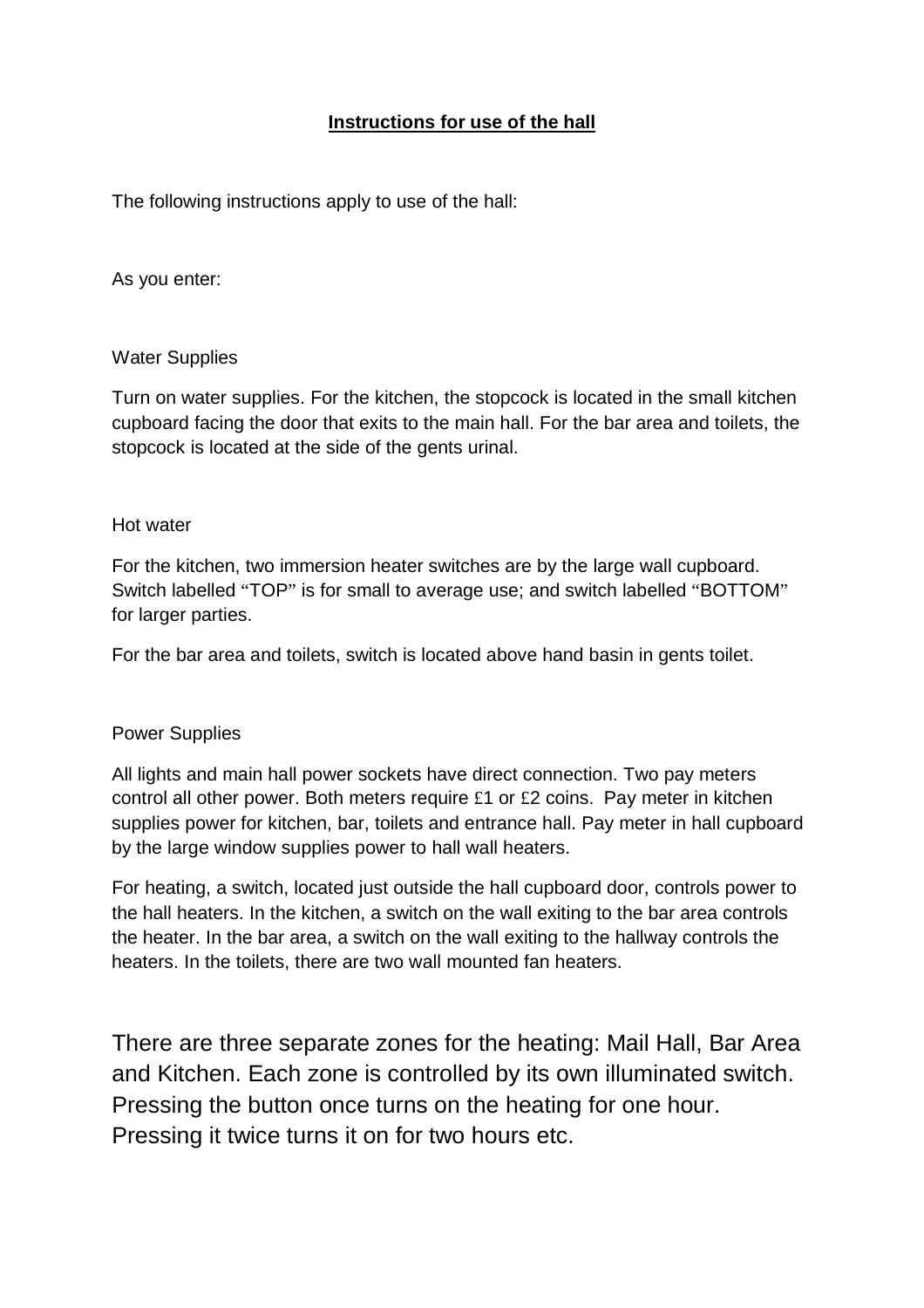# **Instructions for use of the hall**

The following instructions apply to use of the hall:

As you enter:

### Water Supplies

Turn on water supplies. For the kitchen, the stopcock is located in the small kitchen cupboard facing the door that exits to the main hall. For the bar area and toilets, the stopcock is located at the side of the gents urinal.

### Hot water

For the kitchen, two immersion heater switches are by the large wall cupboard. Switch labelled "TOP" is for small to average use; and switch labelled "BOTTOM" for larger parties.

For the bar area and toilets, switch is located above hand basin in gents toilet.

# Power Supplies

All lights and main hall power sockets have direct connection. Two pay meters control all other power. Both meters require £1 or £2 coins. Pay meter in kitchen supplies power for kitchen, bar, toilets and entrance hall. Pay meter in hall cupboard by the large window supplies power to hall wall heaters.

For heating, a switch, located just outside the hall cupboard door, controls power to the hall heaters. In the kitchen, a switch on the wall exiting to the bar area controls the heater. In the bar area, a switch on the wall exiting to the hallway controls the heaters. In the toilets, there are two wall mounted fan heaters.

There are three separate zones for the heating: Mail Hall, Bar Area and Kitchen. Each zone is controlled by its own illuminated switch. Pressing the button once turns on the heating for one hour. Pressing it twice turns it on for two hours etc.